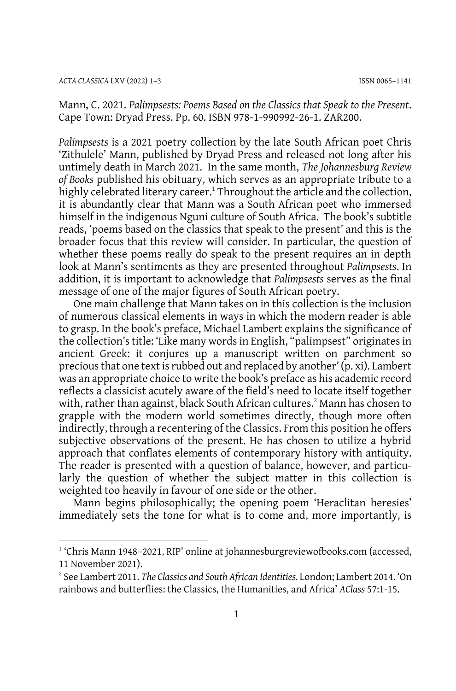Mann, C. 2021. *Palimpsests: Poems Based on the Classics that Speak to the Present*. Cape Town: Dryad Press. Pp. 60. ISBN 978-1-990992-26-1. ZAR200.

*Palimpsests* is a 2021 poetry collection by the late South African poet Chris 'Zithulele' Mann, published by Dryad Press and released not long after his untimely death in March 2021. In the same month, *The Johannesburg Review of Books* published his obituary, which serves as an appropriate tribute to a highly celebrated literary career.<sup>1</sup> Throughout the article and the collection, it is abundantly clear that Mann was a South African poet who immersed himself in the indigenous Nguni culture of South Africa. The book's subtitle reads, 'poems based on the classics that speak to the present' and this is the broader focus that this review will consider. In particular, the question of whether these poems really do speak to the present requires an in depth look at Mann's sentiments as they are presented throughout *Palimpsests*. In addition, it is important to acknowledge that *Palimpsests* serves as the final message of one of the major figures of South African poetry.

One main challenge that Mann takes on in this collection is the inclusion of numerous classical elements in ways in which the modern reader is able to grasp. In the book's preface, Michael Lambert explains the significance of the collection's title: 'Like many words in English, "palimpsest" originates in ancient Greek: it conjures up a manuscript written on parchment so precious that one text is rubbed out and replaced by another' (p. xi). Lambert was an appropriate choice to write the book's preface as his academic record reflects a classicist acutely aware of the field's need to locate itself together with, rather than against, black South African cultures.<sup>2</sup> Mann has chosen to grapple with the modern world sometimes directly, though more often indirectly, through a recentering of the Classics. From this position he offers subjective observations of the present. He has chosen to utilize a hybrid approach that conflates elements of contemporary history with antiquity. The reader is presented with a question of balance, however, and particularly the question of whether the subject matter in this collection is weighted too heavily in favour of one side or the other.

Mann begins philosophically; the opening poem 'Heraclitan heresies' immediately sets the tone for what is to come and, more importantly, is

<sup>1</sup> 'Chris Mann 1948–2021, RIP' online at [johannesburgreviewofbooks.com](https://johannesburgreviewofbooks.com/2021/03/11/chris-mann-1948-2021-rip/) (accessed, 11 November 2021).

<sup>2</sup> See Lambert 2011. *The Classics and South African Identities.* London; Lambert 2014. 'On rainbows and butterflies: the Classics, the Humanities, and Africa' *AClass* 57:1-15.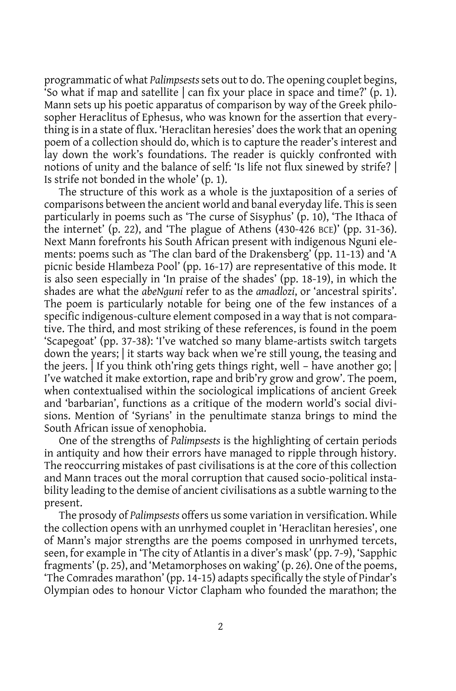programmatic of what *Palimpsests*sets out to do. The opening couplet begins, So what if map and satellite  $\vert$  can fix your place in space and time?' (p. 1). Mann sets up his poetic apparatus of comparison by way of the Greek philosopher Heraclitus of Ephesus, who was known for the assertion that everything is in a state of flux. 'Heraclitan heresies' does the work that an opening poem of a collection should do, which is to capture the reader's interest and lay down the work's foundations. The reader is quickly confronted with notions of unity and the balance of self: 'Is life not flux sinewed by strife? | Is strife not bonded in the whole' (p. 1).

The structure of this work as a whole is the juxtaposition of a series of comparisons between the ancient world and banal everyday life. This is seen particularly in poems such as 'The curse of Sisyphus' (p. 10), 'The Ithaca of the internet' (p. 22), and 'The plague of Athens  $(430-426 \text{ BCE})'$  (pp. 31-36). Next Mann forefronts his South African present with indigenous Nguni elements: poems such as 'The clan bard of the Drakensberg' (pp. 11-13) and 'A picnic beside Hlambeza Pool' (pp. 16-17) are representative of this mode. It is also seen especially in 'In praise of the shades' (pp. 18-19), in which the shades are what the *abeNguni* refer to as the *amadlozi*, or 'ancestral spirits'. The poem is particularly notable for being one of the few instances of a specific indigenous-culture element composed in a way that is not comparative. The third, and most striking of these references, is found in the poem 'Scapegoat' (pp. 37-38): 'I've watched so many blame-artists switch targets down the years; | it starts way back when we're still young, the teasing and the jeers. | If you think oth'ring gets things right, well – have another go; | I've watched it make extortion, rape and brib'ry grow and grow'. The poem, when contextualised within the sociological implications of ancient Greek and 'barbarian', functions as a critique of the modern world's social divisions. Mention of 'Syrians' in the penultimate stanza brings to mind the South African issue of xenophobia.

One of the strengths of *Palimpsests* is the highlighting of certain periods in antiquity and how their errors have managed to ripple through history. The reoccurring mistakes of past civilisations is at the core of this collection and Mann traces out the moral corruption that caused socio-political instability leading to the demise of ancient civilisations as a subtle warning to the present.

The prosody of *Palimpsests* offers us some variation in versification. While the collection opens with an unrhymed couplet in 'Heraclitan heresies', one of Mann's major strengths are the poems composed in unrhymed tercets, seen, for example in 'The city of Atlantis in a diver's mask' (pp. 7-9), 'Sapphic fragments' (p. 25), and 'Metamorphoses on waking' (p. 26). One of the poems, 'The Comrades marathon' (pp. 14-15) adapts specifically the style of Pindar's Olympian odes to honour Victor Clapham who founded the marathon; the